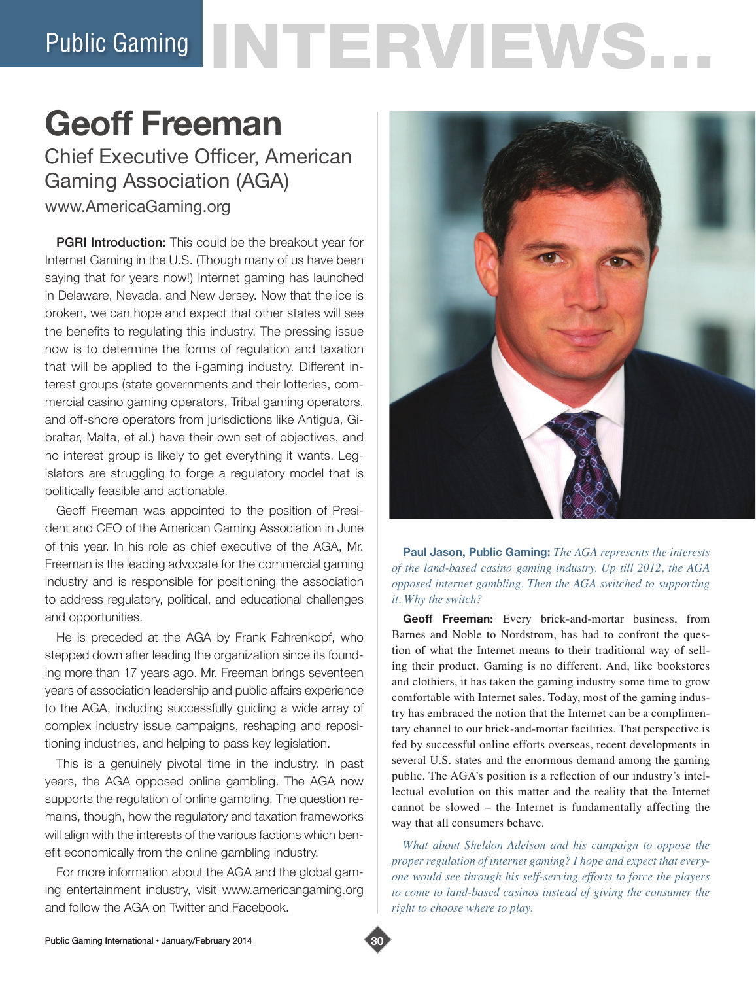# Public Gaming NTERVIEWS...

## **Geoff Freeman**

Chief Executive Officer, American Gaming Association (AGA)

www.AmericaGaming.org

**PGRI Introduction:** This could be the breakout year for Internet Gaming in the U.S. (Though many of us have been saying that for years now!) Internet gaming has launched in Delaware, Nevada, and New Jersey. Now that the ice is broken, we can hope and expect that other states will see the benefits to regulating this industry. The pressing issue now is to determine the forms of regulation and taxation that will be applied to the i-gaming industry. Different interest groups (state governments and their lotteries, commercial casino gaming operators, Tribal gaming operators, and off-shore operators from jurisdictions like Antigua, Gibraltar, Malta, et al.) have their own set of objectives, and no interest group is likely to get everything it wants. Legislators are struggling to forge a regulatory model that is politically feasible and actionable.

Geoff Freeman was appointed to the position of President and CEO of the American Gaming Association in June of this year. In his role as chief executive of the AGA, Mr. Freeman is the leading advocate for the commercial gaming industry and is responsible for positioning the association to address regulatory, political, and educational challenges and opportunities.

He is preceded at the AGA by Frank Fahrenkopf, who stepped down after leading the organization since its founding more than 17 years ago. Mr. Freeman brings seventeen years of association leadership and public affairs experience to the AGA, including successfully guiding a wide array of complex industry issue campaigns, reshaping and repositioning industries, and helping to pass key legislation.

This is a genuinely pivotal time in the industry. In past years, the AGA opposed online gambling. The AGA now supports the regulation of online gambling. The question remains, though, how the regulatory and taxation frameworks will align with the interests of the various factions which benefit economically from the online gambling industry.

For more information about the AGA and the global gaming entertainment industry, visit www.americangaming.org and follow the AGA on Twitter and Facebook.



**Paul Jason, Public Gaming:** *The AGA represents the interests of the land-based casino gaming industry. Up till 2012, the AGA opposed internet gambling. Then the AGA switched to supporting it. Why the switch?*

**Geoff Freeman:** Every brick-and-mortar business, from Barnes and Noble to Nordstrom, has had to confront the question of what the Internet means to their traditional way of selling their product. Gaming is no different. And, like bookstores and clothiers, it has taken the gaming industry some time to grow comfortable with Internet sales. Today, most of the gaming industry has embraced the notion that the Internet can be a complimentary channel to our brick-and-mortar facilities. That perspective is fed by successful online efforts overseas, recent developments in several U.S. states and the enormous demand among the gaming public. The AGA's position is a reflection of our industry's intellectual evolution on this matter and the reality that the Internet cannot be slowed – the Internet is fundamentally affecting the way that all consumers behave.

*What about Sheldon Adelson and his campaign to oppose the proper regulation of internet gaming? I hope and expect that everyone would see through his self-serving efforts to force the players*  to come to land-based casinos instead of giving the consumer the *right to choose where to play.* 

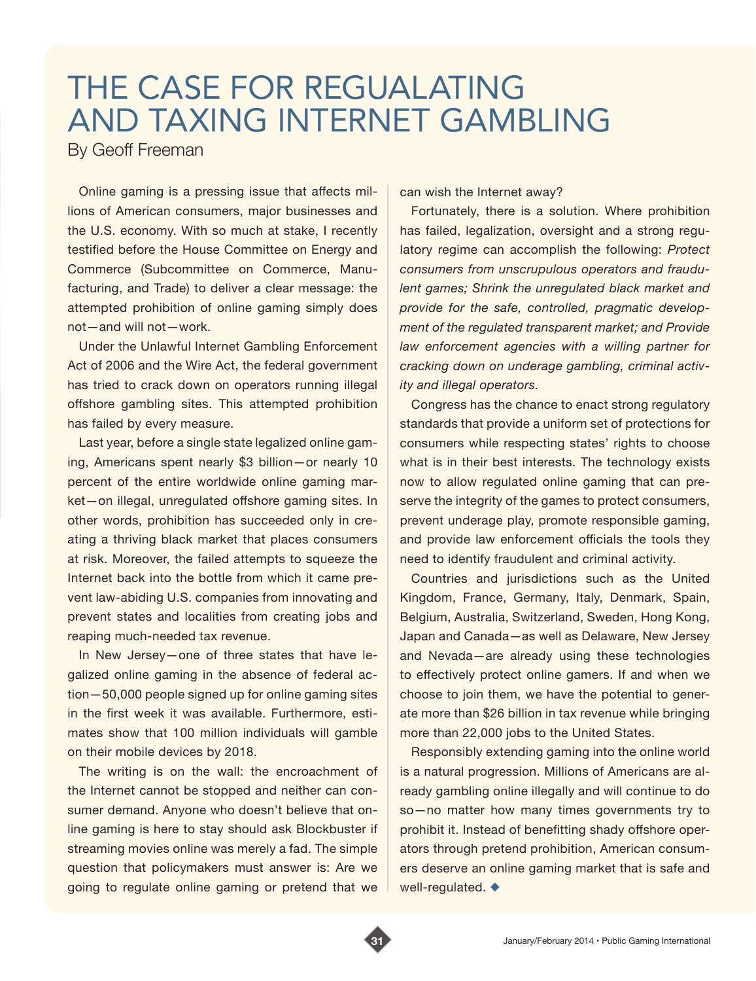## THE CASE FOR REGUALATING AND TAXING INTERNET GAMBLING

By Geoff Freeman

Online gaming is a pressing issue that affects millions of American consumers, major businesses and the U.S. economy. With so much at stake, I recently testified before the House Committee on Energy and Commerce (Subcommittee on Commerce, Manufacturing, and Trade) to deliver a clear message: the attempted prohibition of online gaming simply does not—and will not—work.

Under the Unlawful Internet Gambling Enforcement Act of 2006 and the Wire Act, the federal government has tried to crack down on operators running illegal offshore gambling sites. This attempted prohibition has failed by every measure.

Last year, before a single state legalized online gaming, Americans spent nearly \$3 billion—or nearly 10 percent of the entire worldwide online gaming market—on illegal, unregulated offshore gaming sites. In other words, prohibition has succeeded only in creating a thriving black market that places consumers at risk. Moreover, the failed attempts to squeeze the Internet back into the bottle from which it came prevent law-abiding U.S. companies from innovating and prevent states and localities from creating jobs and reaping much-needed tax revenue.

In New Jersey—one of three states that have legalized online gaming in the absence of federal action—50,000 people signed up for online gaming sites in the first week it was available. Furthermore, estimates show that 100 million individuals will gamble on their mobile devices by 2018.

The writing is on the wall: the encroachment of the Internet cannot be stopped and neither can consumer demand. Anyone who doesn't believe that online gaming is here to stay should ask Blockbuster if streaming movies online was merely a fad. The simple question that policymakers must answer is: Are we going to regulate online gaming or pretend that we can wish the Internet away?

Fortunately, there is a solution. Where prohibition has failed, legalization, oversight and a strong regulatory regime can accomplish the following: *Protect consumers from unscrupulous operators and fraudulent games; Shrink the unregulated black market and provide for the safe, controlled, pragmatic development of the regulated transparent market; and Provide law enforcement agencies with a willing partner for cracking down on underage gambling, criminal activity and illegal operators.*

Congress has the chance to enact strong regulatory standards that provide a uniform set of protections for consumers while respecting states' rights to choose what is in their best interests. The technology exists now to allow regulated online gaming that can preserve the integrity of the games to protect consumers, prevent underage play, promote responsible gaming, and provide law enforcement officials the tools they need to identify fraudulent and criminal activity.

Countries and jurisdictions such as the United Kingdom, France, Germany, Italy, Denmark, Spain, Belgium, Australia, Switzerland, Sweden, Hong Kong, Japan and Canada—as well as Delaware, New Jersey and Nevada—are already using these technologies to effectively protect online gamers. If and when we choose to join them, we have the potential to generate more than \$26 billion in tax revenue while bringing more than 22,000 jobs to the United States.

Responsibly extending gaming into the online world is a natural progression. Millions of Americans are already gambling online illegally and will continue to do so—no matter how many times governments try to prohibit it. Instead of benefitting shady offshore operators through pretend prohibition, American consumers deserve an online gaming market that is safe and well-regulated.  $\blacklozenge$